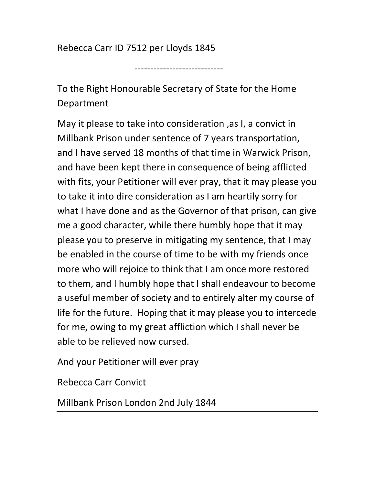## Rebecca Carr ID 7512 per Lloyds 1845

To the Right Honourable Secretary of State for the Home Department

----------------------------

May it please to take into consideration ,as I, a convict in Millbank Prison under sentence of 7 years transportation, and I have served 18 months of that time in Warwick Prison, and have been kept there in consequence of being afflicted with fits, your Petitioner will ever pray, that it may please you to take it into dire consideration as I am heartily sorry for what I have done and as the Governor of that prison, can give me a good character, while there humbly hope that it may please you to preserve in mitigating my sentence, that I may be enabled in the course of time to be with my friends once more who will rejoice to think that I am once more restored to them, and I humbly hope that I shall endeavour to become a useful member of society and to entirely alter my course of life for the future. Hoping that it may please you to intercede for me, owing to my great affliction which I shall never be able to be relieved now cursed.

And your Petitioner will ever pray

Rebecca Carr Convict

Millbank Prison London 2nd July 1844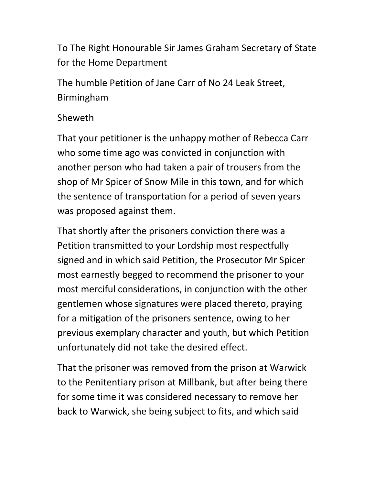To The Right Honourable Sir James Graham Secretary of State for the Home Department

The humble Petition of Jane Carr of No 24 Leak Street, Birmingham

## Sheweth

That your petitioner is the unhappy mother of Rebecca Carr who some time ago was convicted in conjunction with another person who had taken a pair of trousers from the shop of Mr Spicer of Snow Mile in this town, and for which the sentence of transportation for a period of seven years was proposed against them.

That shortly after the prisoners conviction there was a Petition transmitted to your Lordship most respectfully signed and in which said Petition, the Prosecutor Mr Spicer most earnestly begged to recommend the prisoner to your most merciful considerations, in conjunction with the other gentlemen whose signatures were placed thereto, praying for a mitigation of the prisoners sentence, owing to her previous exemplary character and youth, but which Petition unfortunately did not take the desired effect.

That the prisoner was removed from the prison at Warwick to the Penitentiary prison at Millbank, but after being there for some time it was considered necessary to remove her back to Warwick, she being subject to fits, and which said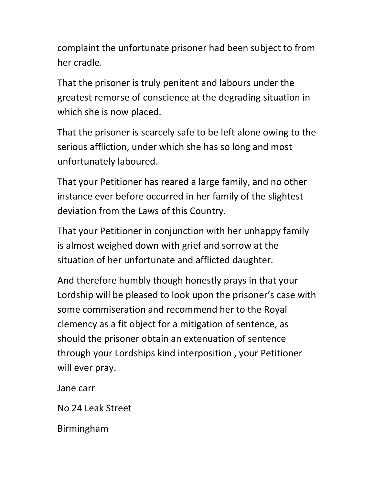complaint the unfortunate prisoner had been subject to from her cradle.

That the prisoner is truly penitent and labours under the greatest remorse of conscience at the degrading situation in which she is now placed.

That the prisoner is scarcely safe to be left alone owing to the serious affliction, under which she has so long and most unfortunately laboured.

That your Petitioner has reared a large family, and no other instance ever before occurred in her family of the slightest deviation from the Laws of this Country.

That your Petitioner in conjunction with her unhappy family is almost weighed down with grief and sorrow at the situation of her unfortunate and afflicted daughter.

And therefore humbly though honestly prays in that your Lordship will be pleased to look upon the prisoner's case with some commiseration and recommend her to the Royal clemency as a fit object for a mitigation of sentence, as should the prisoner obtain an extenuation of sentence through your Lordships kind interposition , your Petitioner will ever pray.

Jane carr

No 24 Leak Street

Birmingham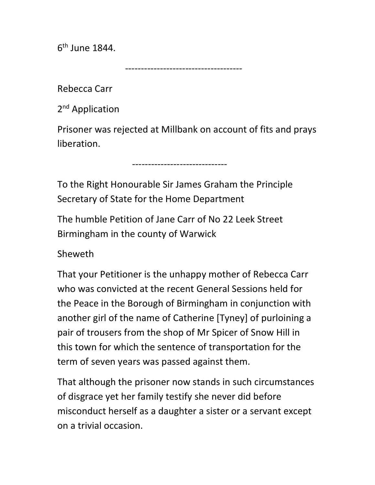6<sup>th</sup> June 1844.

Rebecca Carr

2<sup>nd</sup> Application

Prisoner was rejected at Millbank on account of fits and prays liberation.

-------------------------------------

------------------------------

To the Right Honourable Sir James Graham the Principle Secretary of State for the Home Department

The humble Petition of Jane Carr of No 22 Leek Street Birmingham in the county of Warwick

Sheweth

That your Petitioner is the unhappy mother of Rebecca Carr who was convicted at the recent General Sessions held for the Peace in the Borough of Birmingham in conjunction with another girl of the name of Catherine [Tyney] of purloining a pair of trousers from the shop of Mr Spicer of Snow Hill in this town for which the sentence of transportation for the term of seven years was passed against them.

That although the prisoner now stands in such circumstances of disgrace yet her family testify she never did before misconduct herself as a daughter a sister or a servant except on a trivial occasion.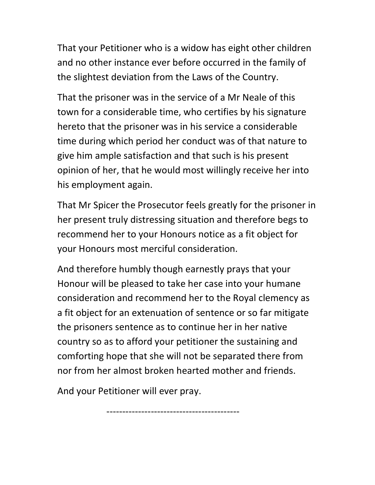That your Petitioner who is a widow has eight other children and no other instance ever before occurred in the family of the slightest deviation from the Laws of the Country.

That the prisoner was in the service of a Mr Neale of this town for a considerable time, who certifies by his signature hereto that the prisoner was in his service a considerable time during which period her conduct was of that nature to give him ample satisfaction and that such is his present opinion of her, that he would most willingly receive her into his employment again.

That Mr Spicer the Prosecutor feels greatly for the prisoner in her present truly distressing situation and therefore begs to recommend her to your Honours notice as a fit object for your Honours most merciful consideration.

And therefore humbly though earnestly prays that your Honour will be pleased to take her case into your humane consideration and recommend her to the Royal clemency as a fit object for an extenuation of sentence or so far mitigate the prisoners sentence as to continue her in her native country so as to afford your petitioner the sustaining and comforting hope that she will not be separated there from nor from her almost broken hearted mother and friends.

------------------------------------------

And your Petitioner will ever pray.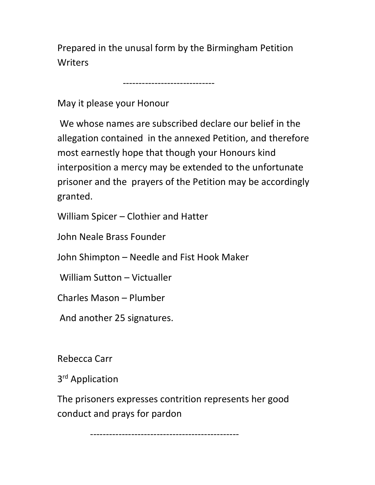Prepared in the unusal form by the Birmingham Petition **Writers** 

-----------------------------

May it please your Honour

 We whose names are subscribed declare our belief in the allegation contained in the annexed Petition, and therefore most earnestly hope that though your Honours kind interposition a mercy may be extended to the unfortunate prisoner and the prayers of the Petition may be accordingly granted.

William Spicer – Clothier and Hatter

John Neale Brass Founder

John Shimpton – Needle and Fist Hook Maker

William Sutton – Victualler

Charles Mason – Plumber

And another 25 signatures.

Rebecca Carr

3<sup>rd</sup> Application

The prisoners expresses contrition represents her good conduct and prays for pardon

-----------------------------------------------